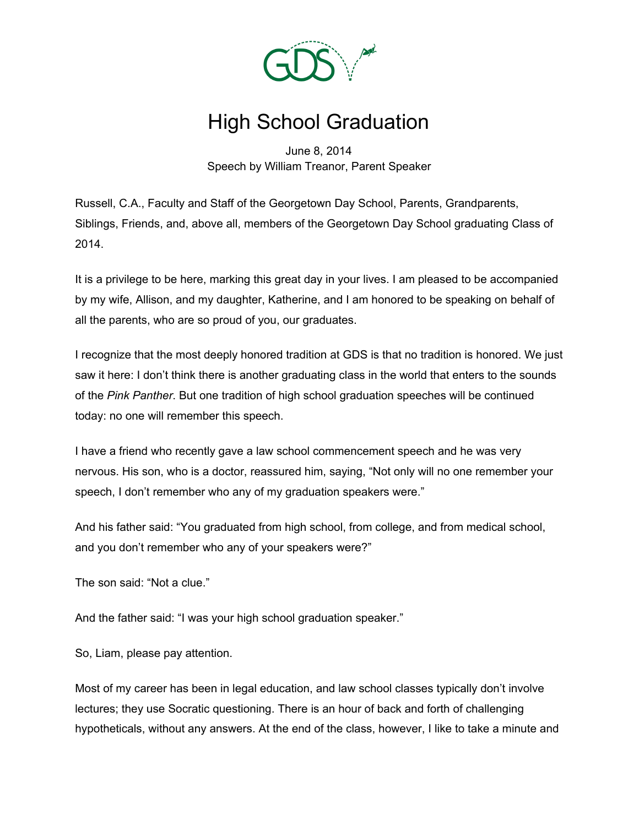

## High School Graduation

June 8, 2014 Speech by William Treanor, Parent Speaker

Russell, C.A., Faculty and Staff of the Georgetown Day School, Parents, Grandparents, Siblings, Friends, and, above all, members of the Georgetown Day School graduating Class of 2014.

It is a privilege to be here, marking this great day in your lives. I am pleased to be accompanied by my wife, Allison, and my daughter, Katherine, and I am honored to be speaking on behalf of all the parents, who are so proud of you, our graduates.

I recognize that the most deeply honored tradition at GDS is that no tradition is honored. We just saw it here: I don't think there is another graduating class in the world that enters to the sounds of the *Pink Panther*. But one tradition of high school graduation speeches will be continued today: no one will remember this speech.

I have a friend who recently gave a law school commencement speech and he was very nervous. His son, who is a doctor, reassured him, saying, "Not only will no one remember your speech, I don't remember who any of my graduation speakers were."

And his father said: "You graduated from high school, from college, and from medical school, and you don't remember who any of your speakers were?"

The son said: "Not a clue."

And the father said: "I was your high school graduation speaker."

So, Liam, please pay attention.

Most of my career has been in legal education, and law school classes typically don't involve lectures; they use Socratic questioning. There is an hour of back and forth of challenging hypotheticals, without any answers. At the end of the class, however, I like to take a minute and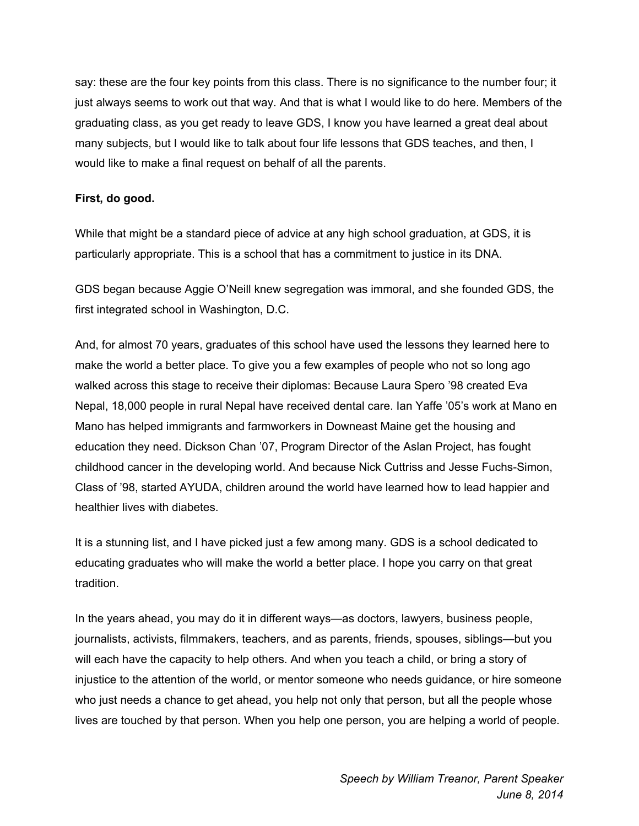say: these are the four key points from this class. There is no significance to the number four; it just always seems to work out that way. And that is what I would like to do here. Members of the graduating class, as you get ready to leave GDS, I know you have learned a great deal about many subjects, but I would like to talk about four life lessons that GDS teaches, and then, I would like to make a final request on behalf of all the parents.

## **First, do good.**

While that might be a standard piece of advice at any high school graduation, at GDS, it is particularly appropriate. This is a school that has a commitment to justice in its DNA.

GDS began because Aggie O'Neill knew segregation was immoral, and she founded GDS, the first integrated school in Washington, D.C.

And, for almost 70 years, graduates of this school have used the lessons they learned here to make the world a better place. To give you a few examples of people who not so long ago walked across this stage to receive their diplomas: Because Laura Spero '98 created Eva Nepal, 18,000 people in rural Nepal have received dental care. Ian Yaffe '05's work at Mano en Mano has helped immigrants and farmworkers in Downeast Maine get the housing and education they need. Dickson Chan '07, Program Director of the Aslan Project, has fought childhood cancer in the developing world. And because Nick Cuttriss and Jesse Fuchs-Simon, Class of '98, started AYUDA, children around the world have learned how to lead happier and healthier lives with diabetes.

It is a stunning list, and I have picked just a few among many. GDS is a school dedicated to educating graduates who will make the world a better place. I hope you carry on that great tradition.

In the years ahead, you may do it in different ways—as doctors, lawyers, business people, journalists, activists, filmmakers, teachers, and as parents, friends, spouses, siblings—but you will each have the capacity to help others. And when you teach a child, or bring a story of injustice to the attention of the world, or mentor someone who needs guidance, or hire someone who just needs a chance to get ahead, you help not only that person, but all the people whose lives are touched by that person. When you help one person, you are helping a world of people.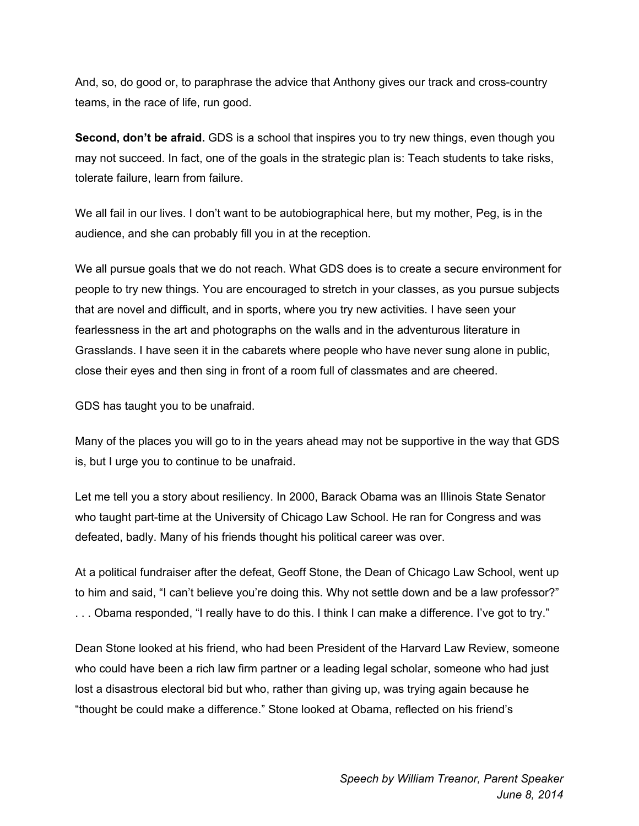And, so, do good or, to paraphrase the advice that Anthony gives our track and cross-country teams, in the race of life, run good.

**Second, don't be afraid.** GDS is a school that inspires you to try new things, even though you may not succeed. In fact, one of the goals in the strategic plan is: Teach students to take risks, tolerate failure, learn from failure.

We all fail in our lives. I don't want to be autobiographical here, but my mother, Peg, is in the audience, and she can probably fill you in at the reception.

We all pursue goals that we do not reach. What GDS does is to create a secure environment for people to try new things. You are encouraged to stretch in your classes, as you pursue subjects that are novel and difficult, and in sports, where you try new activities. I have seen your fearlessness in the art and photographs on the walls and in the adventurous literature in Grasslands. I have seen it in the cabarets where people who have never sung alone in public, close their eyes and then sing in front of a room full of classmates and are cheered.

GDS has taught you to be unafraid.

Many of the places you will go to in the years ahead may not be supportive in the way that GDS is, but I urge you to continue to be unafraid.

Let me tell you a story about resiliency. In 2000, Barack Obama was an Illinois State Senator who taught part-time at the University of Chicago Law School. He ran for Congress and was defeated, badly. Many of his friends thought his political career was over.

At a political fundraiser after the defeat, Geoff Stone, the Dean of Chicago Law School, went up to him and said, "I can't believe you're doing this. Why not settle down and be a law professor?" . . . Obama responded, "I really have to do this. I think I can make a difference. I've got to try."

Dean Stone looked at his friend, who had been President of the Harvard Law Review, someone who could have been a rich law firm partner or a leading legal scholar, someone who had just lost a disastrous electoral bid but who, rather than giving up, was trying again because he "thought be could make a difference." Stone looked at Obama, reflected on his friend's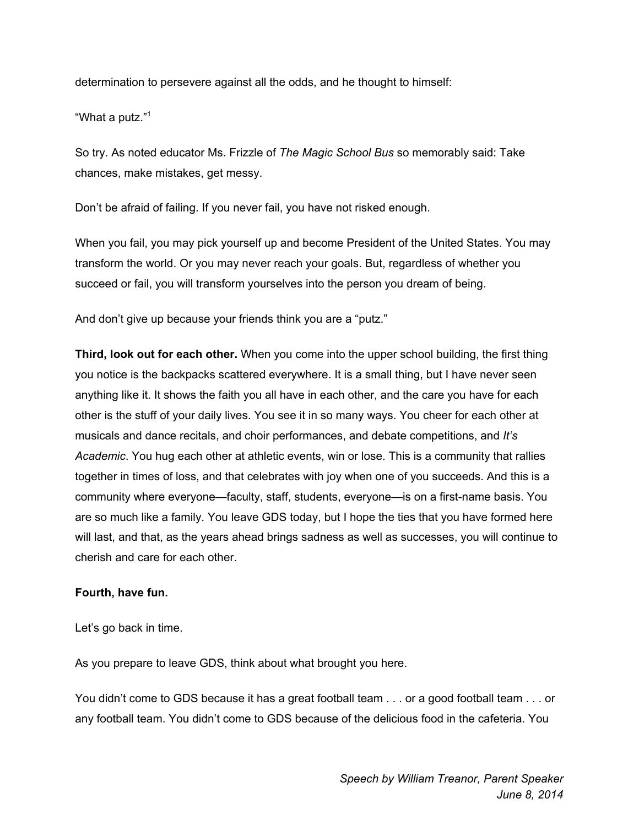determination to persevere against all the odds, and he thought to himself:

"What a putz."<sup>1</sup>

So try. As noted educator Ms. Frizzle of *The Magic School Bus* so memorably said: Take chances, make mistakes, get messy.

Don't be afraid of failing. If you never fail, you have not risked enough.

When you fail, you may pick yourself up and become President of the United States. You may transform the world. Or you may never reach your goals. But, regardless of whether you succeed or fail, you will transform yourselves into the person you dream of being.

And don't give up because your friends think you are a "putz."

**Third, look out for each other.** When you come into the upper school building, the first thing you notice is the backpacks scattered everywhere. It is a small thing, but I have never seen anything like it. It shows the faith you all have in each other, and the care you have for each other is the stuff of your daily lives. You see it in so many ways. You cheer for each other at musicals and dance recitals, and choir performances, and debate competitions, and *It's Academic*. You hug each other at athletic events, win or lose. This is a community that rallies together in times of loss, and that celebrates with joy when one of you succeeds. And this is a community where everyone—faculty, staff, students, everyone—is on a first-name basis. You are so much like a family. You leave GDS today, but I hope the ties that you have formed here will last, and that, as the years ahead brings sadness as well as successes, you will continue to cherish and care for each other.

## **Fourth, have fun.**

Let's go back in time.

As you prepare to leave GDS, think about what brought you here.

You didn't come to GDS because it has a great football team . . . or a good football team . . . or any football team. You didn't come to GDS because of the delicious food in the cafeteria. You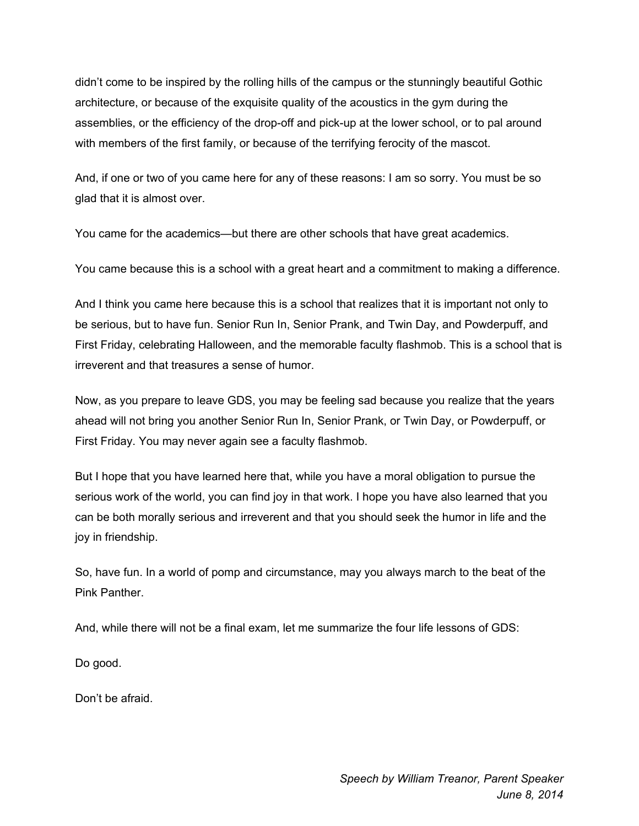didn't come to be inspired by the rolling hills of the campus or the stunningly beautiful Gothic architecture, or because of the exquisite quality of the acoustics in the gym during the assemblies, or the efficiency of the drop-off and pick-up at the lower school, or to pal around with members of the first family, or because of the terrifying ferocity of the mascot.

And, if one or two of you came here for any of these reasons: I am so sorry. You must be so glad that it is almost over.

You came for the academics—but there are other schools that have great academics.

You came because this is a school with a great heart and a commitment to making a difference.

And I think you came here because this is a school that realizes that it is important not only to be serious, but to have fun. Senior Run In, Senior Prank, and Twin Day, and Powderpuff, and First Friday, celebrating Halloween, and the memorable faculty flashmob. This is a school that is irreverent and that treasures a sense of humor.

Now, as you prepare to leave GDS, you may be feeling sad because you realize that the years ahead will not bring you another Senior Run In, Senior Prank, or Twin Day, or Powderpuff, or First Friday. You may never again see a faculty flashmob.

But I hope that you have learned here that, while you have a moral obligation to pursue the serious work of the world, you can find joy in that work. I hope you have also learned that you can be both morally serious and irreverent and that you should seek the humor in life and the joy in friendship.

So, have fun. In a world of pomp and circumstance, may you always march to the beat of the Pink Panther.

And, while there will not be a final exam, let me summarize the four life lessons of GDS:

Do good.

Don't be afraid.